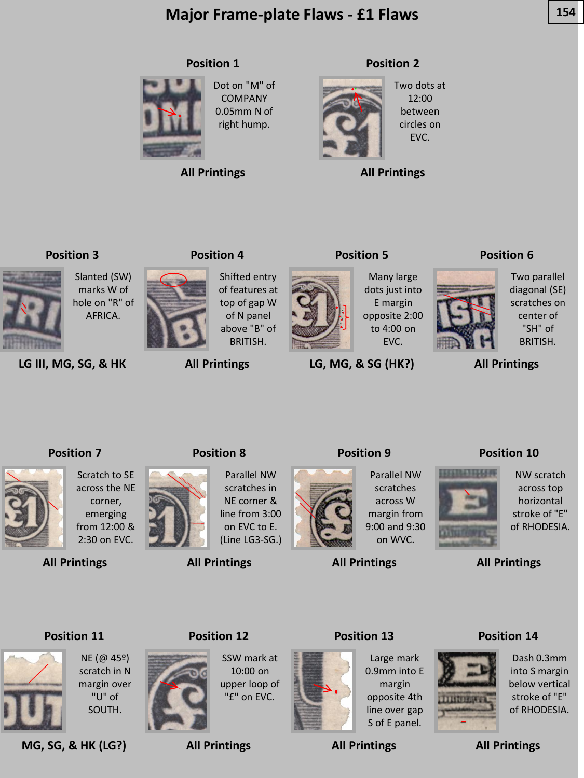# **Major Frame-plate Flaws - £1 Flaws 154**

#### **Position 1**



COMPANY 0.05mm N of right hump.

Dot on "M" of

**All Printings**

#### **Position 2**



Two dots at 12:00 between circles on EVC.

**All Printings**

#### **Position 3**



**LG III, MG, SG, & HK**

#### **Position 4**

Shifted entry of features at top of gap W of N panel above "B" of BRITISH.



**LG, MG, & SG (HK?)**

#### **Position 6**



Two parallel diagonal (SE) scratches on center of "SH" of BRITISH.

**All Printings**

#### **Position 7**



Scratch to SE across the NE corner, emerging from 12:00 & 2:30 on EVC.

**All Printings**



**Position 8**

**All Printings**

Parallel NW scratches in NE corner & line from 3:00 on EVC to E. (Line LG3-SG.)

**All Printings**



Parallel NW scratches across W margin from 9:00 and 9:30 on WVC.

**All Printings**

# 1111111



**All Printings**

#### **Position 11**

**MG, SG, & HK (LG?)**



NE (@ 45º) scratch in N margin over "U" of SOUTH.



SSW mark at 10:00 on upper loop of

"£" on EVC.

**All Printings**



Large mark 0.9mm into E margin opposite 4th line over gap S of E panel.

**All Printings**

**Position 14**



Dash 0.3mm into S margin below vertical stroke of "E" of RHODESIA.

**All Printings**





of RHODESIA.



E margin to 4:00 on EVC.

**Position 5**

Many large dots just into opposite 2:00

**Position 9**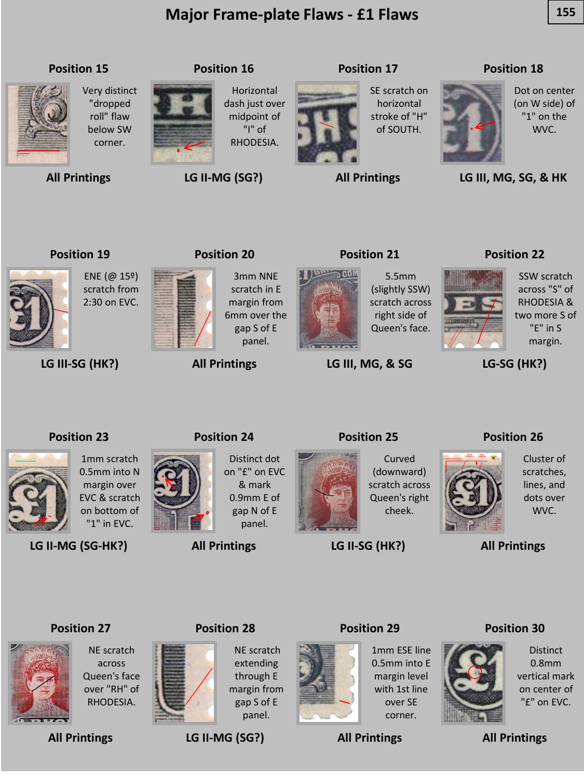# **Major Frame-plate Flaws - £1 Flaws**  $\begin{array}{|c|c|c|}\n\hline\n155\n\end{array}$



**All Printings**

**Position 15**

Very distinct "dropped roll" flaw below SW corner.

# **Position 16**

Horizontal dash just over midpoint of "I" of RHODESIA.

**LG II-MG (SG?)**

# **Position 17**

SE scratch on horizontal stroke of "H" of SOUTH.

**All Printings**

#### **Position 18**



Dot on center (on W side) of "1" on the WVC.

**LG III, MG, SG, & HK**

#### **Position 19**

ENE (@ 15º) scratch from 2:30 on EVC.



**LG III-SG (HK?)**

#### **Position 20**

3mm NNE scratch in E margin from 6mm over the gap S of E panel.

#### **All Printings**

**Position 24**



right side of

**LG III, MG, & SG**

#### **Position 22**



SSW scratch across "S" of RHODESIA & two more S of "E" in S margin.

**LG-SG (HK?)**

#### **Position 23**



1mm scratch 0.5mm into N margin over EVC & scratch on bottom of "1" in EVC.

**LG II-MG (SG-HK?)**



Distinct dot on "£" on EVC & mark 0.9mm E of gap N of E

panel.

### **All Printings**

**Position 25**



Curved (downward) scratch across Queen's right cheek.

**LG II-SG (HK?)**

**Position 29**

#### **Position 26**



Cluster of scratches, lines, and dots over WVC.

**All Printings**

#### **Position 27**



NE scratch across Queen's face over "RH" of RHODESIA.

**All Printings**



NE scratch extending through E margin from gap S of E panel.

**LG II-MG (SG?)**



1mm ESE line 0.5mm into E margin level with 1st line over SE corner.

**All Printings**



Distinct 0.8mm vertical mark on center of "£" on EVC.

### **Position 21**



5.5mm (slightly SSW) scratch across Queen's face.